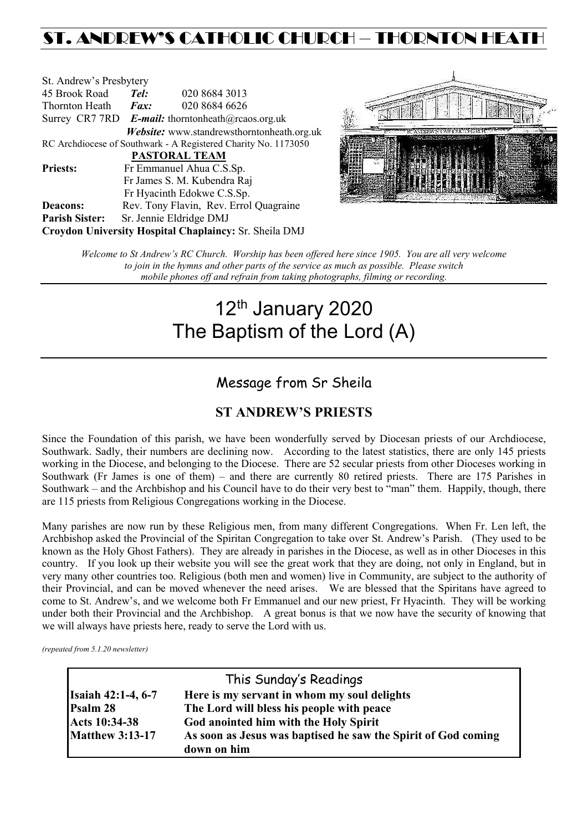## ST. ANDREW'S CATHOLIC CHURCH – THORNTON HEAT

| St. Andrew's Presbytery                                |                     |                                                                         |  |
|--------------------------------------------------------|---------------------|-------------------------------------------------------------------------|--|
| 45 Brook Road                                          | Tel:                | 020 8684 3013                                                           |  |
| Thornton Heath                                         | $\boldsymbol{Fax:}$ | 020 8684 6626                                                           |  |
|                                                        |                     | Surrey CR7 7RD <b>E-mail:</b> thorntonheath $(\partial x)$ reaos.org.uk |  |
|                                                        |                     | Website: www.standrewsthorntonheath.org.uk                              |  |
|                                                        |                     | RC Archdiocese of Southwark - A Registered Charity No. 1173050          |  |
|                                                        |                     | <b>PASTORAL TEAM</b>                                                    |  |
| <b>Priests:</b>                                        |                     | Fr Emmanuel Ahua C.S.Sp.                                                |  |
|                                                        |                     | Fr James S. M. Kubendra Raj                                             |  |
|                                                        |                     | Fr Hyacinth Edokwe C.S.Sp.                                              |  |
| <b>Deacons:</b>                                        |                     | Rev. Tony Flavin, Rev. Errol Quagraine                                  |  |
| <b>Parish Sister:</b>                                  |                     | Sr. Jennie Eldridge DMJ                                                 |  |
| Croydon University Hospital Chaplaincy: Sr. Sheila DMJ |                     |                                                                         |  |



*Welcome to St Andrew's RC Church. Worship has been offered here since 1905. You are all very welcome to join in the hymns and other parts of the service as much as possible. Please switch mobile phones off and refrain from taking photographs, filming or recording.*

# 12<sup>th</sup> January 2020 The Baptism of the Lord (A)

### Message from Sr Sheila

### **ST ANDREW'S PRIESTS**

Since the Foundation of this parish, we have been wonderfully served by Diocesan priests of our Archdiocese, Southwark. Sadly, their numbers are declining now. According to the latest statistics, there are only 145 priests working in the Diocese, and belonging to the Diocese. There are 52 secular priests from other Dioceses working in Southwark (Fr James is one of them) – and there are currently 80 retired priests. There are 175 Parishes in Southwark – and the Archbishop and his Council have to do their very best to "man" them. Happily, though, there are 115 priests from Religious Congregations working in the Diocese.

Many parishes are now run by these Religious men, from many different Congregations. When Fr. Len left, the Archbishop asked the Provincial of the Spiritan Congregation to take over St. Andrew's Parish. (They used to be known as the Holy Ghost Fathers). They are already in parishes in the Diocese, as well as in other Dioceses in this country. If you look up their website you will see the great work that they are doing, not only in England, but in very many other countries too. Religious (both men and women) live in Community, are subject to the authority of their Provincial, and can be moved whenever the need arises. We are blessed that the Spiritans have agreed to come to St. Andrew's, and we welcome both Fr Emmanuel and our new priest, Fr Hyacinth. They will be working under both their Provincial and the Archbishop. A great bonus is that we now have the security of knowing that we will always have priests here, ready to serve the Lord with us.

*(repeated from 5.1.20 newsletter)*

| This Sunday's Readings    |                                                               |  |  |  |
|---------------------------|---------------------------------------------------------------|--|--|--|
| <b>Isaiah 42:1-4, 6-7</b> | Here is my servant in whom my soul delights                   |  |  |  |
| Psalm 28                  | The Lord will bless his people with peace                     |  |  |  |
| Acts 10:34-38             | God anointed him with the Holy Spirit                         |  |  |  |
| <b>Matthew 3:13-17</b>    | As soon as Jesus was baptised he saw the Spirit of God coming |  |  |  |
|                           | down on him                                                   |  |  |  |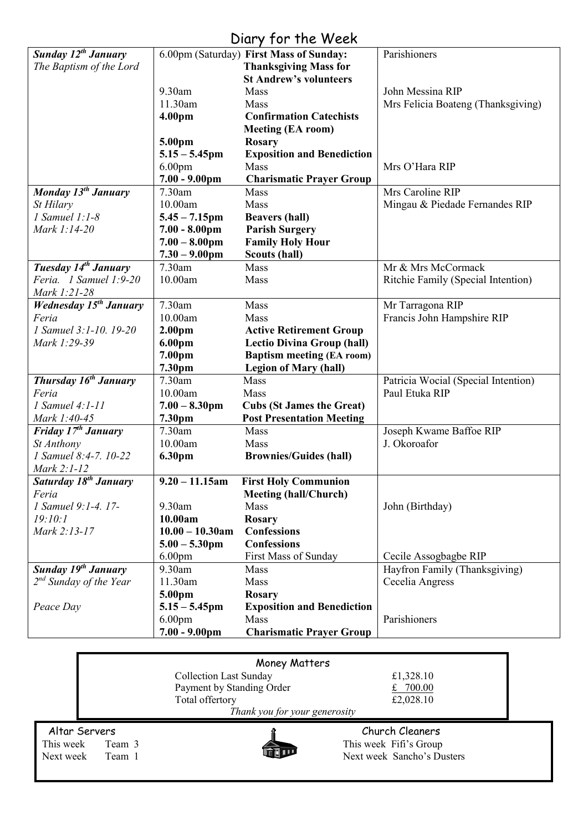### Diary for the Week

|                                   |                         | UNIY IVI IIK WEEN                       |                                     |
|-----------------------------------|-------------------------|-----------------------------------------|-------------------------------------|
| Sunday 12 <sup>th</sup> January   |                         | 6.00pm (Saturday) First Mass of Sunday: | Parishioners                        |
| The Baptism of the Lord           |                         | <b>Thanksgiving Mass for</b>            |                                     |
|                                   |                         | <b>St Andrew's volunteers</b>           |                                     |
|                                   | 9.30am                  | <b>Mass</b>                             | John Messina RIP                    |
|                                   | 11.30am                 | Mass                                    | Mrs Felicia Boateng (Thanksgiving)  |
|                                   |                         |                                         |                                     |
|                                   | 4.00pm                  | <b>Confirmation Catechists</b>          |                                     |
|                                   |                         | <b>Meeting (EA room)</b>                |                                     |
|                                   | 5.00pm                  | <b>Rosary</b>                           |                                     |
|                                   | $5.15 - 5.45$ pm        | <b>Exposition and Benediction</b>       |                                     |
|                                   | 6.00 <sub>pm</sub>      | Mass                                    | Mrs O'Hara RIP                      |
|                                   | $7.00 - 9.00$ pm        | <b>Charismatic Prayer Group</b>         |                                     |
| Monday $13^{th}$ January          | 7.30am                  | Mass                                    | Mrs Caroline RIP                    |
|                                   |                         |                                         |                                     |
| St Hilary                         | 10.00am                 | Mass                                    | Mingau & Piedade Fernandes RIP      |
| $1$ Samuel $1:1-8$                | $5.45 - 7.15$ pm        | <b>Beavers (hall)</b>                   |                                     |
| Mark 1:14-20                      | $7.00 - 8.00 \text{pm}$ | <b>Parish Surgery</b>                   |                                     |
|                                   | $7.00 - 8.00$ pm        | <b>Family Holy Hour</b>                 |                                     |
|                                   | $7.30 - 9.00$ pm        | <b>Scouts (hall)</b>                    |                                     |
| Tuesday 14 <sup>th</sup> January  | 7.30am                  | Mass                                    | Mr & Mrs McCormack                  |
| Feria. 1 Samuel 1:9-20            | 10.00am                 | Mass                                    |                                     |
|                                   |                         |                                         | Ritchie Family (Special Intention)  |
| Mark 1:21-28                      |                         |                                         |                                     |
| <b>Wednesday 15th January</b>     | 7.30am                  | Mass                                    | Mr Tarragona RIP                    |
| Feria                             | 10.00am                 | Mass                                    | Francis John Hampshire RIP          |
| 1 Samuel 3:1-10, 19-20            | 2.00 <sub>pm</sub>      | <b>Active Retirement Group</b>          |                                     |
| Mark 1:29-39                      | 6.00pm                  | <b>Lectio Divina Group (hall)</b>       |                                     |
|                                   | 7.00pm                  | <b>Baptism meeting (EA room)</b>        |                                     |
|                                   | 7.30pm                  |                                         |                                     |
|                                   |                         | <b>Legion of Mary (hall)</b>            |                                     |
| Thursday 16 <sup>th</sup> January | 7.30am                  | Mass                                    | Patricia Wocial (Special Intention) |
| Feria                             | 10.00am                 | Mass                                    | Paul Etuka RIP                      |
| 1 Samuel 4:1-11                   | $7.00 - 8.30$ pm        | <b>Cubs (St James the Great)</b>        |                                     |
| Mark 1:40-45                      | 7.30pm                  | <b>Post Presentation Meeting</b>        |                                     |
| Friday 17 <sup>th</sup> January   | 7.30am                  | Mass                                    | Joseph Kwame Baffoe RIP             |
| St Anthony                        | 10.00am                 | Mass                                    | J. Okoroafor                        |
| 1 Samuel 8:4-7, 10-22             |                         |                                         |                                     |
|                                   | 6.30pm                  | <b>Brownies/Guides (hall)</b>           |                                     |
| Mark 2:1-12                       |                         |                                         |                                     |
| Saturday 18 <sup>th</sup> January | $9.20 - 11.15$ am       | <b>First Holy Communion</b>             |                                     |
| Feria                             |                         | <b>Meeting (hall/Church)</b>            |                                     |
| 1 Samuel 9:1-4. 17-               | 9.30am                  | Mass                                    | John (Birthday)                     |
| 19:10:1                           | 10.00am                 | <b>Rosary</b>                           |                                     |
| Mark 2:13-17                      | $10.00 - 10.30$ am      | <b>Confessions</b>                      |                                     |
|                                   | $5.00 - 5.30$ pm        | <b>Confessions</b>                      |                                     |
|                                   | 6.00 <sub>pm</sub>      | First Mass of Sunday                    |                                     |
|                                   |                         |                                         | Cecile Assogbagbe RIP               |
| Sunday 19 <sup>th</sup> January   | 9.30am                  | Mass                                    | Hayfron Family (Thanksgiving)       |
| $2^{nd}$ Sunday of the Year       | 11.30am                 | Mass                                    | Cecelia Angress                     |
|                                   | 5.00pm                  | <b>Rosary</b>                           |                                     |
| Peace Day                         | $5.15 - 5.45$ pm        | <b>Exposition and Benediction</b>       |                                     |
|                                   | 6.00 <sub>pm</sub>      | Mass                                    | Parishioners                        |
|                                   | $7.00 - 9.00$ pm        | <b>Charismatic Prayer Group</b>         |                                     |
|                                   |                         |                                         |                                     |

| Money Matters                 |        |                               |                            |  |  |
|-------------------------------|--------|-------------------------------|----------------------------|--|--|
|                               |        | <b>Collection Last Sunday</b> | £1,328.10                  |  |  |
|                               |        | Payment by Standing Order     | £ $700.00$                 |  |  |
|                               |        | Total offertory               | £2,028.10                  |  |  |
| Thank you for your generosity |        |                               |                            |  |  |
| Altar Servers                 |        |                               | Church Cleaners            |  |  |
| This week                     | Team 3 |                               | This week Fifi's Group     |  |  |
| Next week                     | Team 1 |                               | Next week Sancho's Dusters |  |  |
|                               |        |                               |                            |  |  |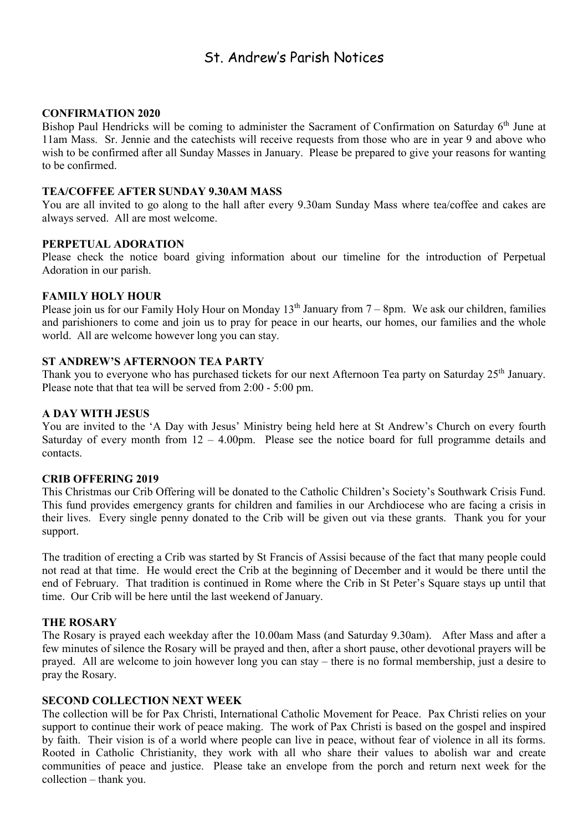### St. Andrew's Parish Notices

#### **CONFIRMATION 2020**

Bishop Paul Hendricks will be coming to administer the Sacrament of Confirmation on Saturday 6<sup>th</sup> June at 11am Mass. Sr. Jennie and the catechists will receive requests from those who are in year 9 and above who wish to be confirmed after all Sunday Masses in January. Please be prepared to give your reasons for wanting to be confirmed.

#### **TEA/COFFEE AFTER SUNDAY 9.30AM MASS**

You are all invited to go along to the hall after every 9.30am Sunday Mass where tea/coffee and cakes are always served. All are most welcome.

#### **PERPETUAL ADORATION**

Please check the notice board giving information about our timeline for the introduction of Perpetual Adoration in our parish.

#### **FAMILY HOLY HOUR**

Please join us for our Family Holy Hour on Monday  $13<sup>th</sup>$  January from  $7 - 8$ pm. We ask our children, families and parishioners to come and join us to pray for peace in our hearts, our homes, our families and the whole world. All are welcome however long you can stay.

#### **ST ANDREW'S AFTERNOON TEA PARTY**

Thank you to everyone who has purchased tickets for our next Afternoon Tea party on Saturday 25<sup>th</sup> January. Please note that that tea will be served from 2:00 - 5:00 pm.

#### **A DAY WITH JESUS**

You are invited to the 'A Day with Jesus' Ministry being held here at St Andrew's Church on every fourth Saturday of every month from  $12 - 4.00$ pm. Please see the notice board for full programme details and contacts.

#### **CRIB OFFERING 2019**

This Christmas our Crib Offering will be donated to the Catholic Children's Society's Southwark Crisis Fund. This fund provides emergency grants for children and families in our Archdiocese who are facing a crisis in their lives. Every single penny donated to the Crib will be given out via these grants. Thank you for your support.

The tradition of erecting a Crib was started by St Francis of Assisi because of the fact that many people could not read at that time. He would erect the Crib at the beginning of December and it would be there until the end of February. That tradition is continued in Rome where the Crib in St Peter's Square stays up until that time. Our Crib will be here until the last weekend of January.

#### **THE ROSARY**

The Rosary is prayed each weekday after the 10.00am Mass (and Saturday 9.30am). After Mass and after a few minutes of silence the Rosary will be prayed and then, after a short pause, other devotional prayers will be prayed. All are welcome to join however long you can stay – there is no formal membership, just a desire to pray the Rosary.

#### **SECOND COLLECTION NEXT WEEK**

The collection will be for Pax Christi, International Catholic Movement for Peace. Pax Christi relies on your support to continue their work of peace making. The work of Pax Christi is based on the gospel and inspired by faith. Their vision is of a world where people can live in peace, without fear of violence in all its forms. Rooted in Catholic Christianity, they work with all who share their values to abolish war and create communities of peace and justice. Please take an envelope from the porch and return next week for the collection – thank you.